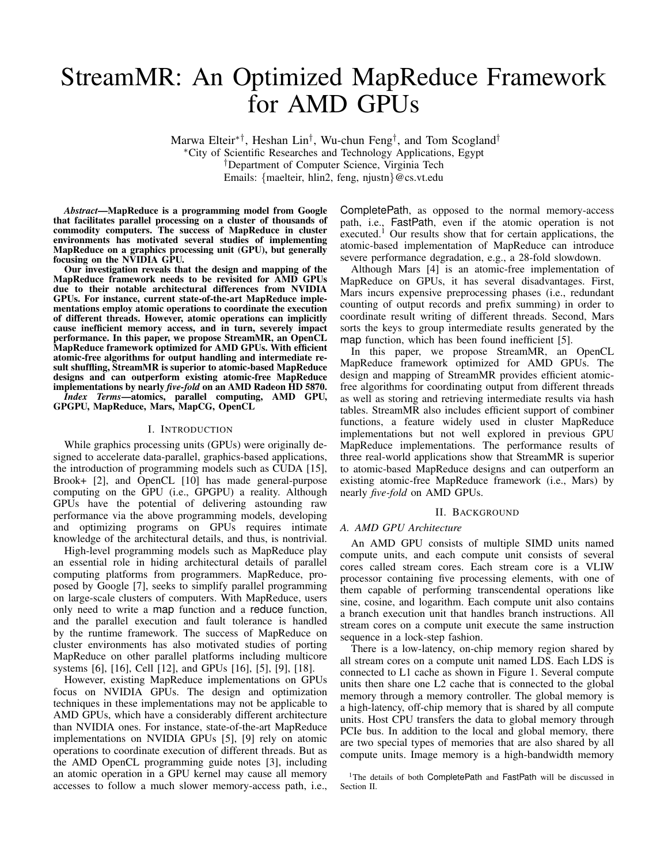# StreamMR: An Optimized MapReduce Framework for AMD GPUs

Marwa Elteir∗†, Heshan Lin† , Wu-chun Feng† , and Tom Scogland† <sup>∗</sup>City of Scientific Researches and Technology Applications, Egypt †Department of Computer Science, Virginia Tech Emails: {maelteir, hlin2, feng, njustn}@cs.vt.edu

*Abstract*—MapReduce is a programming model from Google that facilitates parallel processing on a cluster of thousands of commodity computers. The success of MapReduce in cluster environments has motivated several studies of implementing MapReduce on a graphics processing unit (GPU), but generally focusing on the NVIDIA GPU.

Our investigation reveals that the design and mapping of the MapReduce framework needs to be revisited for AMD GPUs due to their notable architectural differences from NVIDIA GPUs. For instance, current state-of-the-art MapReduce implementations employ atomic operations to coordinate the execution of different threads. However, atomic operations can implicitly cause inefficient memory access, and in turn, severely impact performance. In this paper, we propose StreamMR, an OpenCL MapReduce framework optimized for AMD GPUs. With efficient atomic-free algorithms for output handling and intermediate result shuffling, StreamMR is superior to atomic-based MapReduce designs and can outperform existing atomic-free MapReduce implementations by nearly *five-fold* on an AMD Radeon HD 5870. *Index Terms*—atomics, parallel computing, AMD GPU, GPGPU, MapReduce, Mars, MapCG, OpenCL

#### I. INTRODUCTION

While graphics processing units (GPUs) were originally designed to accelerate data-parallel, graphics-based applications, the introduction of programming models such as CUDA [15], Brook+ [2], and OpenCL [10] has made general-purpose computing on the GPU (i.e., GPGPU) a reality. Although GPUs have the potential of delivering astounding raw performance via the above programming models, developing and optimizing programs on GPUs requires intimate knowledge of the architectural details, and thus, is nontrivial.

High-level programming models such as MapReduce play an essential role in hiding architectural details of parallel computing platforms from programmers. MapReduce, proposed by Google [7], seeks to simplify parallel programming on large-scale clusters of computers. With MapReduce, users only need to write a map function and a reduce function, and the parallel execution and fault tolerance is handled by the runtime framework. The success of MapReduce on cluster environments has also motivated studies of porting MapReduce on other parallel platforms including multicore systems [6], [16], Cell [12], and GPUs [16], [5], [9], [18].

However, existing MapReduce implementations on GPUs focus on NVIDIA GPUs. The design and optimization techniques in these implementations may not be applicable to AMD GPUs, which have a considerably different architecture than NVIDIA ones. For instance, state-of-the-art MapReduce implementations on NVIDIA GPUs [5], [9] rely on atomic operations to coordinate execution of different threads. But as the AMD OpenCL programming guide notes [3], including an atomic operation in a GPU kernel may cause all memory accesses to follow a much slower memory-access path, i.e., CompletePath, as opposed to the normal memory-access path, i.e., FastPath, even if the atomic operation is not executed.<sup>1</sup> Our results show that for certain applications, the atomic-based implementation of MapReduce can introduce severe performance degradation, e.g., a 28-fold slowdown.

Although Mars [4] is an atomic-free implementation of MapReduce on GPUs, it has several disadvantages. First, Mars incurs expensive preprocessing phases (i.e., redundant counting of output records and prefix summing) in order to coordinate result writing of different threads. Second, Mars sorts the keys to group intermediate results generated by the map function, which has been found inefficient [5].

In this paper, we propose StreamMR, an OpenCL MapReduce framework optimized for AMD GPUs. The design and mapping of StreamMR provides efficient atomicfree algorithms for coordinating output from different threads as well as storing and retrieving intermediate results via hash tables. StreamMR also includes efficient support of combiner functions, a feature widely used in cluster MapReduce implementations but not well explored in previous GPU MapReduce implementations. The performance results of three real-world applications show that StreamMR is superior to atomic-based MapReduce designs and can outperform an existing atomic-free MapReduce framework (i.e., Mars) by nearly *five-fold* on AMD GPUs.

#### II. BACKGROUND

## *A. AMD GPU Architecture*

An AMD GPU consists of multiple SIMD units named compute units, and each compute unit consists of several cores called stream cores. Each stream core is a VLIW processor containing five processing elements, with one of them capable of performing transcendental operations like sine, cosine, and logarithm. Each compute unit also contains a branch execution unit that handles branch instructions. All stream cores on a compute unit execute the same instruction sequence in a lock-step fashion.

There is a low-latency, on-chip memory region shared by all stream cores on a compute unit named LDS. Each LDS is connected to L1 cache as shown in Figure 1. Several compute units then share one L2 cache that is connected to the global memory through a memory controller. The global memory is a high-latency, off-chip memory that is shared by all compute units. Host CPU transfers the data to global memory through PCIe bus. In addition to the local and global memory, there are two special types of memories that are also shared by all compute units. Image memory is a high-bandwidth memory

<sup>1</sup>The details of both CompletePath and FastPath will be discussed in Section II.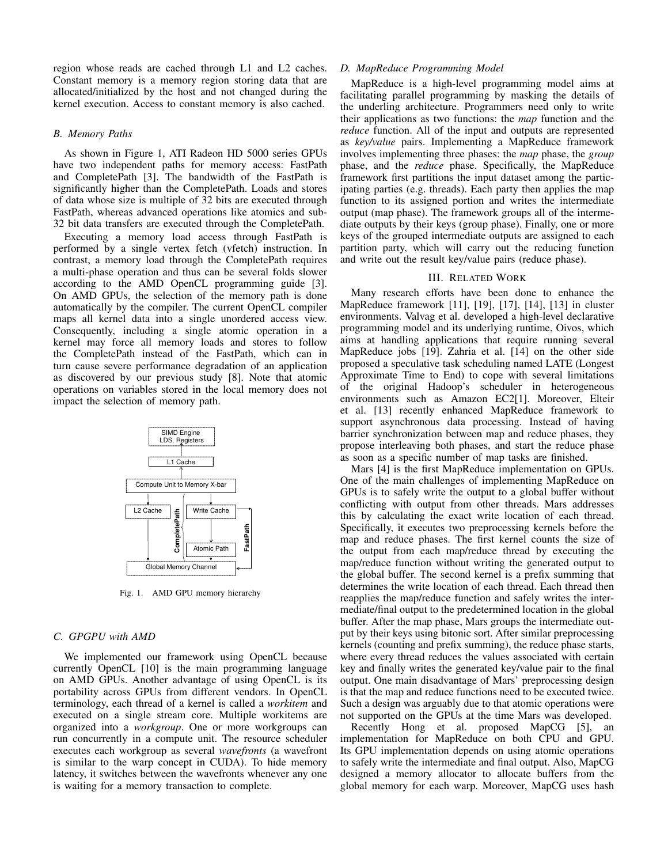region whose reads are cached through L1 and L2 caches. Constant memory is a memory region storing data that are allocated/initialized by the host and not changed during the kernel execution. Access to constant memory is also cached.

## *B. Memory Paths*

As shown in Figure 1, ATI Radeon HD 5000 series GPUs have two independent paths for memory access: FastPath and CompletePath [3]. The bandwidth of the FastPath is significantly higher than the CompletePath. Loads and stores of data whose size is multiple of 32 bits are executed through FastPath, whereas advanced operations like atomics and sub-32 bit data transfers are executed through the CompletePath.

Executing a memory load access through FastPath is performed by a single vertex fetch (vfetch) instruction. In contrast, a memory load through the CompletePath requires a multi-phase operation and thus can be several folds slower according to the AMD OpenCL programming guide [3]. On AMD GPUs, the selection of the memory path is done automatically by the compiler. The current OpenCL compiler maps all kernel data into a single unordered access view. Consequently, including a single atomic operation in a kernel may force all memory loads and stores to follow the CompletePath instead of the FastPath, which can in turn cause severe performance degradation of an application as discovered by our previous study [8]. Note that atomic operations on variables stored in the local memory does not impact the selection of memory path.



Fig. 1. AMD GPU memory hierarchy

## *C. GPGPU with AMD*

We implemented our framework using OpenCL because currently OpenCL [10] is the main programming language on AMD GPUs. Another advantage of using OpenCL is its portability across GPUs from different vendors. In OpenCL terminology, each thread of a kernel is called a *workitem* and executed on a single stream core. Multiple workitems are organized into a *workgroup*. One or more workgroups can run concurrently in a compute unit. The resource scheduler executes each workgroup as several *wavefronts* (a wavefront is similar to the warp concept in CUDA). To hide memory latency, it switches between the wavefronts whenever any one is waiting for a memory transaction to complete.

## *D. MapReduce Programming Model*

MapReduce is a high-level programming model aims at facilitating parallel programming by masking the details of the underling architecture. Programmers need only to write their applications as two functions: the *map* function and the *reduce* function. All of the input and outputs are represented as *key/value* pairs. Implementing a MapReduce framework involves implementing three phases: the *map* phase, the *group* phase, and the *reduce* phase. Specifically, the MapReduce framework first partitions the input dataset among the participating parties (e.g. threads). Each party then applies the map function to its assigned portion and writes the intermediate output (map phase). The framework groups all of the intermediate outputs by their keys (group phase). Finally, one or more keys of the grouped intermediate outputs are assigned to each partition party, which will carry out the reducing function and write out the result key/value pairs (reduce phase).

# III. RELATED WORK

Many research efforts have been done to enhance the MapReduce framework [11], [19], [17], [14], [13] in cluster environments. Valvag et al. developed a high-level declarative programming model and its underlying runtime, Oivos, which aims at handling applications that require running several MapReduce jobs [19]. Zahria et al. [14] on the other side proposed a speculative task scheduling named LATE (Longest Approximate Time to End) to cope with several limitations of the original Hadoop's scheduler in heterogeneous environments such as Amazon EC2[1]. Moreover, Elteir et al. [13] recently enhanced MapReduce framework to support asynchronous data processing. Instead of having barrier synchronization between map and reduce phases, they propose interleaving both phases, and start the reduce phase as soon as a specific number of map tasks are finished.

Mars [4] is the first MapReduce implementation on GPUs. One of the main challenges of implementing MapReduce on GPUs is to safely write the output to a global buffer without conflicting with output from other threads. Mars addresses this by calculating the exact write location of each thread. Specifically, it executes two preprocessing kernels before the map and reduce phases. The first kernel counts the size of the output from each map/reduce thread by executing the map/reduce function without writing the generated output to the global buffer. The second kernel is a prefix summing that determines the write location of each thread. Each thread then reapplies the map/reduce function and safely writes the intermediate/final output to the predetermined location in the global buffer. After the map phase, Mars groups the intermediate output by their keys using bitonic sort. After similar preprocessing kernels (counting and prefix summing), the reduce phase starts, where every thread reduces the values associated with certain key and finally writes the generated key/value pair to the final output. One main disadvantage of Mars' preprocessing design is that the map and reduce functions need to be executed twice. Such a design was arguably due to that atomic operations were not supported on the GPUs at the time Mars was developed.

Recently Hong et al. proposed MapCG [5], an implementation for MapReduce on both CPU and GPU. Its GPU implementation depends on using atomic operations to safely write the intermediate and final output. Also, MapCG designed a memory allocator to allocate buffers from the global memory for each warp. Moreover, MapCG uses hash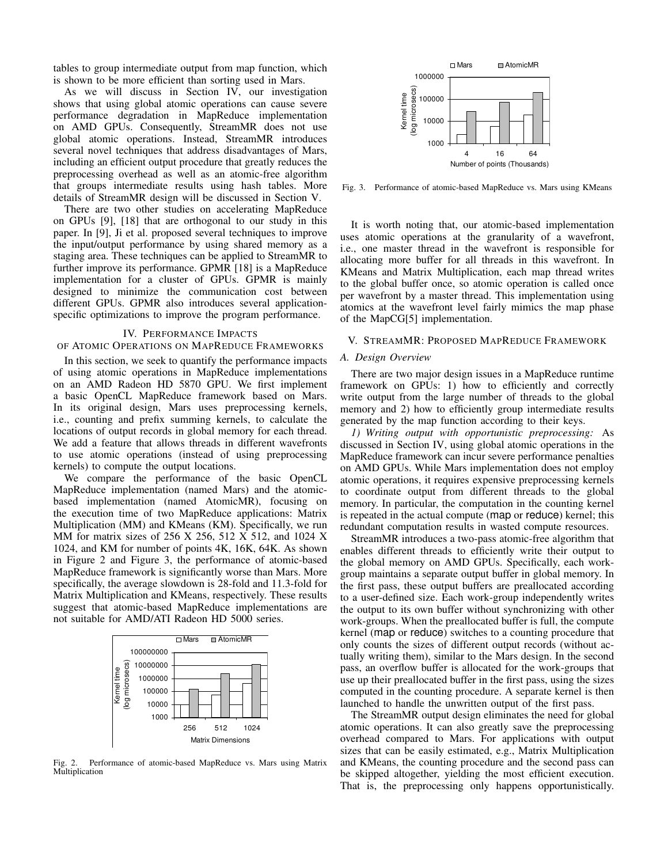tables to group intermediate output from map function, which is shown to be more efficient than sorting used in Mars.

As we will discuss in Section IV, our investigation shows that using global atomic operations can cause severe performance degradation in MapReduce implementation on AMD GPUs. Consequently, StreamMR does not use global atomic operations. Instead, StreamMR introduces several novel techniques that address disadvantages of Mars, including an efficient output procedure that greatly reduces the preprocessing overhead as well as an atomic-free algorithm that groups intermediate results using hash tables. More details of StreamMR design will be discussed in Section V.

There are two other studies on accelerating MapReduce on GPUs [9], [18] that are orthogonal to our study in this paper. In [9], Ji et al. proposed several techniques to improve the input/output performance by using shared memory as a staging area. These techniques can be applied to StreamMR to further improve its performance. GPMR [18] is a MapReduce implementation for a cluster of GPUs. GPMR is mainly designed to minimize the communication cost between different GPUs. GPMR also introduces several applicationspecific optimizations to improve the program performance.

#### IV. PERFORMANCE IMPACTS

## OF ATOMIC OPERATIONS ON MAPREDUCE FRAMEWORKS

In this section, we seek to quantify the performance impacts of using atomic operations in MapReduce implementations on an AMD Radeon HD 5870 GPU. We first implement a basic OpenCL MapReduce framework based on Mars. In its original design, Mars uses preprocessing kernels, i.e., counting and prefix summing kernels, to calculate the locations of output records in global memory for each thread. We add a feature that allows threads in different wavefronts to use atomic operations (instead of using preprocessing kernels) to compute the output locations.

We compare the performance of the basic OpenCL MapReduce implementation (named Mars) and the atomicbased implementation (named AtomicMR), focusing on the execution time of two MapReduce applications: Matrix Multiplication (MM) and KMeans (KM). Specifically, we run MM for matrix sizes of 256 X 256, 512 X 512, and 1024 X 1024, and KM for number of points 4K, 16K, 64K. As shown in Figure 2 and Figure 3, the performance of atomic-based MapReduce framework is significantly worse than Mars. More specifically, the average slowdown is 28-fold and 11.3-fold for Matrix Multiplication and KMeans, respectively. These results suggest that atomic-based MapReduce implementations are not suitable for AMD/ATI Radeon HD 5000 series.



Fig. 2. Performance of atomic-based MapReduce vs. Mars using Matrix Multiplication



Fig. 3. Performance of atomic-based MapReduce vs. Mars using KMeans

It is worth noting that, our atomic-based implementation uses atomic operations at the granularity of a wavefront, i.e., one master thread in the wavefront is responsible for allocating more buffer for all threads in this wavefront. In KMeans and Matrix Multiplication, each map thread writes to the global buffer once, so atomic operation is called once per wavefront by a master thread. This implementation using atomics at the wavefront level fairly mimics the map phase of the MapCG[5] implementation.

# V. STREAMMR: PROPOSED MAPREDUCE FRAMEWORK

## *A. Design Overview*

There are two major design issues in a MapReduce runtime framework on GPUs: 1) how to efficiently and correctly write output from the large number of threads to the global memory and 2) how to efficiently group intermediate results generated by the map function according to their keys.

*1) Writing output with opportunistic preprocessing:* As discussed in Section IV, using global atomic operations in the MapReduce framework can incur severe performance penalties on AMD GPUs. While Mars implementation does not employ atomic operations, it requires expensive preprocessing kernels to coordinate output from different threads to the global memory. In particular, the computation in the counting kernel is repeated in the actual compute (map or reduce) kernel; this redundant computation results in wasted compute resources.

StreamMR introduces a two-pass atomic-free algorithm that enables different threads to efficiently write their output to the global memory on AMD GPUs. Specifically, each workgroup maintains a separate output buffer in global memory. In the first pass, these output buffers are preallocated according to a user-defined size. Each work-group independently writes the output to its own buffer without synchronizing with other work-groups. When the preallocated buffer is full, the compute kernel (map or reduce) switches to a counting procedure that only counts the sizes of different output records (without actually writing them), similar to the Mars design. In the second pass, an overflow buffer is allocated for the work-groups that use up their preallocated buffer in the first pass, using the sizes computed in the counting procedure. A separate kernel is then launched to handle the unwritten output of the first pass.

The StreamMR output design eliminates the need for global atomic operations. It can also greatly save the preprocessing overhead compared to Mars. For applications with output sizes that can be easily estimated, e.g., Matrix Multiplication and KMeans, the counting procedure and the second pass can be skipped altogether, yielding the most efficient execution. That is, the preprocessing only happens opportunistically.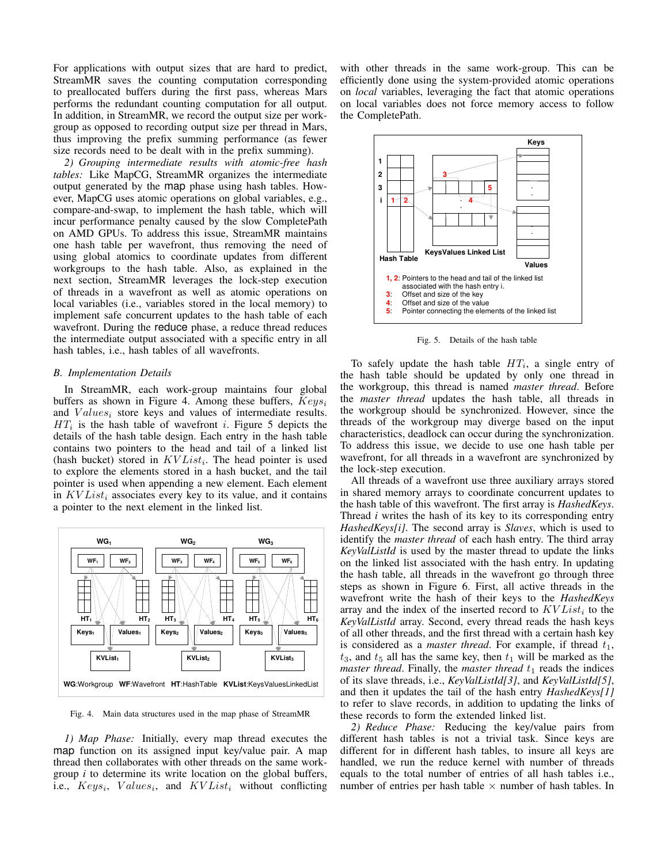For applications with output sizes that are hard to predict, StreamMR saves the counting computation corresponding to preallocated buffers during the first pass, whereas Mars performs the redundant counting computation for all output. In addition, in StreamMR, we record the output size per workgroup as opposed to recording output size per thread in Mars, thus improving the prefix summing performance (as fewer size records need to be dealt with in the prefix summing).

*2) Grouping intermediate results with atomic-free hash tables:* Like MapCG, StreamMR organizes the intermediate output generated by the map phase using hash tables. However, MapCG uses atomic operations on global variables, e.g., compare-and-swap, to implement the hash table, which will incur performance penalty caused by the slow CompletePath on AMD GPUs. To address this issue, StreamMR maintains one hash table per wavefront, thus removing the need of using global atomics to coordinate updates from different workgroups to the hash table. Also, as explained in the next section, StreamMR leverages the lock-step execution of threads in a wavefront as well as atomic operations on local variables (i.e., variables stored in the local memory) to implement safe concurrent updates to the hash table of each wavefront. During the reduce phase, a reduce thread reduces the intermediate output associated with a specific entry in all hash tables, i.e., hash tables of all wavefronts.

## *B. Implementation Details*

In StreamMR, each work-group maintains four global buffers as shown in Figure 4. Among these buffers,  $Keys_i$ and  $Values_i$  store keys and values of intermediate results.  $HT_i$  is the hash table of wavefront i. Figure 5 depicts the details of the hash table design. Each entry in the hash table contains two pointers to the head and tail of a linked list (hash bucket) stored in  $KVList_i$ . The head pointer is used to explore the elements stored in a hash bucket, and the tail pointer is used when appending a new element. Each element in  $KVList_i$  associates every key to its value, and it contains a pointer to the next element in the linked list.



Fig. 4. Main data structures used in the map phase of StreamMR

*1) Map Phase:* Initially, every map thread executes the map function on its assigned input key/value pair. A map thread then collaborates with other threads on the same workgroup *i* to determine its write location on the global buffers, i.e.,  $Keys_i$ ,  $Values_i$ , and  $KVList_i$  without conflicting

with other threads in the same work-group. This can be efficiently done using the system-provided atomic operations on *local* variables, leveraging the fact that atomic operations on local variables does not force memory access to follow the CompletePath.



Fig. 5. Details of the hash table

To safely update the hash table  $HT_i$ , a single entry of the hash table should be updated by only one thread in the workgroup, this thread is named *master thread*. Before the *master thread* updates the hash table, all threads in the workgroup should be synchronized. However, since the threads of the workgroup may diverge based on the input characteristics, deadlock can occur during the synchronization. To address this issue, we decide to use one hash table per wavefront, for all threads in a wavefront are synchronized by the lock-step execution.

All threads of a wavefront use three auxiliary arrays stored in shared memory arrays to coordinate concurrent updates to the hash table of this wavefront. The first array is *HashedKeys*. Thread *i* writes the hash of its key to its corresponding entry *HashedKeys[i]*. The second array is *Slaves*, which is used to identify the *master thread* of each hash entry. The third array *KeyValListId* is used by the master thread to update the links on the linked list associated with the hash entry. In updating the hash table, all threads in the wavefront go through three steps as shown in Figure 6. First, all active threads in the wavefront write the hash of their keys to the *HashedKeys* array and the index of the inserted record to  $KVList_i$  to the *KeyValListId* array. Second, every thread reads the hash keys of all other threads, and the first thread with a certain hash key is considered as a *master thread*. For example, if thread  $t_1$ ,  $t_3$ , and  $t_5$  all has the same key, then  $t_1$  will be marked as the *master thread.* Finally, the *master thread*  $t_1$  reads the indices of its slave threads, i.e., *KeyValListId[3]*, and *KeyValListId[5]*, and then it updates the tail of the hash entry *HashedKeys[1]* to refer to slave records, in addition to updating the links of these records to form the extended linked list.

*2) Reduce Phase:* Reducing the key/value pairs from different hash tables is not a trivial task. Since keys are different for in different hash tables, to insure all keys are handled, we run the reduce kernel with number of threads equals to the total number of entries of all hash tables i.e., number of entries per hash table  $\times$  number of hash tables. In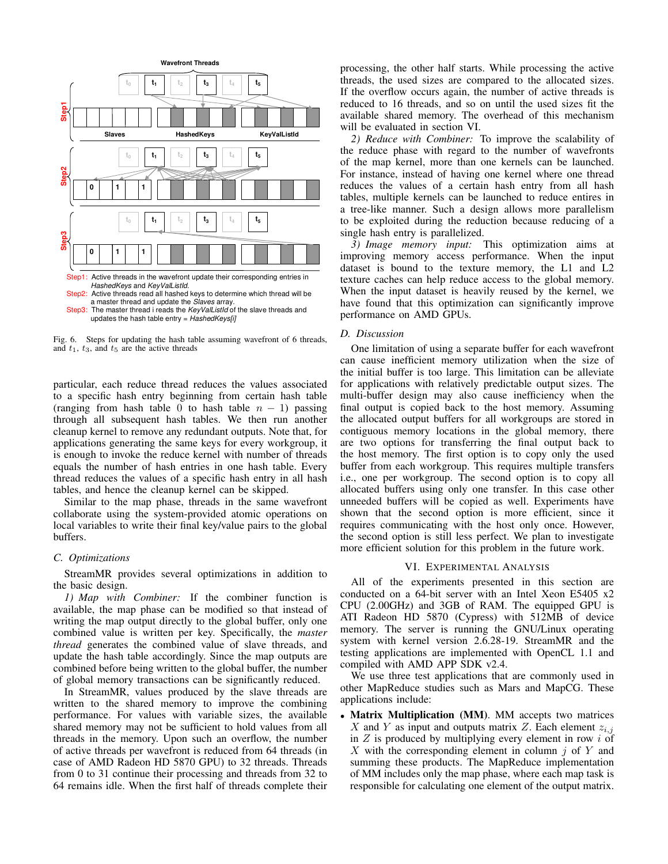

a master thread and update the Slaves array. Step3: The master thread i reads the KeyValListId of the slave threads and updates the hash table entry =  $H$ ashedKeys[i]

Fig. 6. Steps for updating the hash table assuming wavefront of 6 threads, and  $t_1$ ,  $t_3$ , and  $t_5$  are the active threads

particular, each reduce thread reduces the values associated to a specific hash entry beginning from certain hash table (ranging from hash table 0 to hash table  $n - 1$ ) passing through all subsequent hash tables. We then run another cleanup kernel to remove any redundant outputs. Note that, for applications generating the same keys for every workgroup, it is enough to invoke the reduce kernel with number of threads equals the number of hash entries in one hash table. Every thread reduces the values of a specific hash entry in all hash tables, and hence the cleanup kernel can be skipped.

Similar to the map phase, threads in the same wavefront collaborate using the system-provided atomic operations on local variables to write their final key/value pairs to the global buffers.

## *C. Optimizations*

StreamMR provides several optimizations in addition to the basic design.

*1) Map with Combiner:* If the combiner function is available, the map phase can be modified so that instead of writing the map output directly to the global buffer, only one combined value is written per key. Specifically, the *master thread* generates the combined value of slave threads, and update the hash table accordingly. Since the map outputs are combined before being written to the global buffer, the number of global memory transactions can be significantly reduced.

In StreamMR, values produced by the slave threads are written to the shared memory to improve the combining performance. For values with variable sizes, the available shared memory may not be sufficient to hold values from all threads in the memory. Upon such an overflow, the number of active threads per wavefront is reduced from 64 threads (in case of AMD Radeon HD 5870 GPU) to 32 threads. Threads from 0 to 31 continue their processing and threads from 32 to 64 remains idle. When the first half of threads complete their

processing, the other half starts. While processing the active threads, the used sizes are compared to the allocated sizes. If the overflow occurs again, the number of active threads is reduced to 16 threads, and so on until the used sizes fit the available shared memory. The overhead of this mechanism will be evaluated in section VI.

*2) Reduce with Combiner:* To improve the scalability of the reduce phase with regard to the number of wavefronts of the map kernel, more than one kernels can be launched. For instance, instead of having one kernel where one thread reduces the values of a certain hash entry from all hash tables, multiple kernels can be launched to reduce entires in a tree-like manner. Such a design allows more parallelism to be exploited during the reduction because reducing of a single hash entry is parallelized.

*3) Image memory input:* This optimization aims at improving memory access performance. When the input dataset is bound to the texture memory, the L1 and L2 texture caches can help reduce access to the global memory. When the input dataset is heavily reused by the kernel, we have found that this optimization can significantly improve performance on AMD GPUs.

## *D. Discussion*

One limitation of using a separate buffer for each wavefront can cause inefficient memory utilization when the size of the initial buffer is too large. This limitation can be alleviate for applications with relatively predictable output sizes. The multi-buffer design may also cause inefficiency when the final output is copied back to the host memory. Assuming the allocated output buffers for all workgroups are stored in contiguous memory locations in the global memory, there are two options for transferring the final output back to the host memory. The first option is to copy only the used buffer from each workgroup. This requires multiple transfers i.e., one per workgroup. The second option is to copy all allocated buffers using only one transfer. In this case other unneeded buffers will be copied as well. Experiments have shown that the second option is more efficient, since it requires communicating with the host only once. However, the second option is still less perfect. We plan to investigate more efficient solution for this problem in the future work.

## VI. EXPERIMENTAL ANALYSIS

All of the experiments presented in this section are conducted on a 64-bit server with an Intel Xeon E5405 x2 CPU (2.00GHz) and 3GB of RAM. The equipped GPU is ATI Radeon HD 5870 (Cypress) with 512MB of device memory. The server is running the GNU/Linux operating system with kernel version 2.6.28-19. StreamMR and the testing applications are implemented with OpenCL 1.1 and compiled with AMD APP SDK v2.4.

We use three test applications that are commonly used in other MapReduce studies such as Mars and MapCG. These applications include:

• Matrix Multiplication (MM). MM accepts two matrices X and Y as input and outputs matrix Z. Each element  $z_{i,j}$ in  $Z$  is produced by multiplying every element in row  $i$  of X with the corresponding element in column  $j$  of Y and summing these products. The MapReduce implementation of MM includes only the map phase, where each map task is responsible for calculating one element of the output matrix.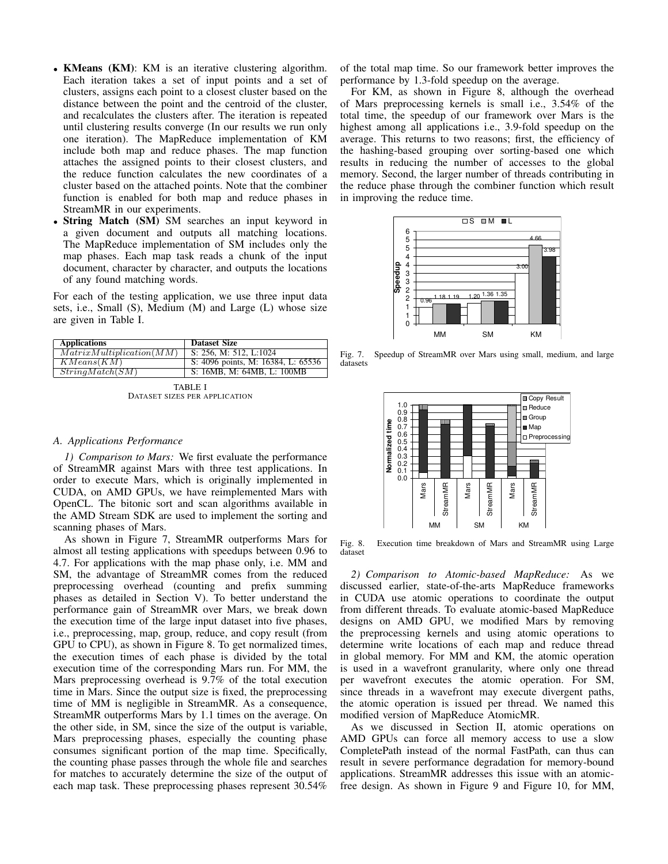- KMeans (KM): KM is an iterative clustering algorithm. Each iteration takes a set of input points and a set of clusters, assigns each point to a closest cluster based on the distance between the point and the centroid of the cluster, and recalculates the clusters after. The iteration is repeated until clustering results converge (In our results we run only one iteration). The MapReduce implementation of KM include both map and reduce phases. The map function attaches the assigned points to their closest clusters, and the reduce function calculates the new coordinates of a cluster based on the attached points. Note that the combiner function is enabled for both map and reduce phases in StreamMR in our experiments.
- String Match (SM) SM searches an input keyword in a given document and outputs all matching locations. The MapReduce implementation of SM includes only the map phases. Each map task reads a chunk of the input document, character by character, and outputs the locations of any found matching words.

For each of the testing application, we use three input data sets, i.e., Small (S), Medium (M) and Large (L) whose size are given in Table I.

| <b>Applications</b>      | <b>Dataset Size</b>                |
|--------------------------|------------------------------------|
| MatrixMultiplication(MM) | S: 256, M: 512, L:1024             |
| KMeans(KM)               | S: 4096 points, M: 16384, L: 65536 |
| StringMatch(SM)          | S: 16MB, M: 64MB, L: 100MB         |

TABLE I DATASET SIZES PER APPLICATION

## *A. Applications Performance*

*1) Comparison to Mars:* We first evaluate the performance of StreamMR against Mars with three test applications. In order to execute Mars, which is originally implemented in CUDA, on AMD GPUs, we have reimplemented Mars with OpenCL. The bitonic sort and scan algorithms available in the AMD Stream SDK are used to implement the sorting and scanning phases of Mars.

As shown in Figure 7, StreamMR outperforms Mars for almost all testing applications with speedups between 0.96 to 4.7. For applications with the map phase only, i.e. MM and SM, the advantage of StreamMR comes from the reduced preprocessing overhead (counting and prefix summing phases as detailed in Section V). To better understand the performance gain of StreamMR over Mars, we break down the execution time of the large input dataset into five phases, i.e., preprocessing, map, group, reduce, and copy result (from GPU to CPU), as shown in Figure 8. To get normalized times, the execution times of each phase is divided by the total execution time of the corresponding Mars run. For MM, the Mars preprocessing overhead is 9.7% of the total execution time in Mars. Since the output size is fixed, the preprocessing time of MM is negligible in StreamMR. As a consequence, StreamMR outperforms Mars by 1.1 times on the average. On the other side, in SM, since the size of the output is variable, Mars preprocessing phases, especially the counting phase consumes significant portion of the map time. Specifically, the counting phase passes through the whole file and searches for matches to accurately determine the size of the output of each map task. These preprocessing phases represent 30.54%

of the total map time. So our framework better improves the performance by 1.3-fold speedup on the average.

For KM, as shown in Figure 8, although the overhead of Mars preprocessing kernels is small i.e., 3.54% of the total time, the speedup of our framework over Mars is the highest among all applications i.e., 3.9-fold speedup on the average. This returns to two reasons; first, the efficiency of the hashing-based grouping over sorting-based one which results in reducing the number of accesses to the global memory. Second, the larger number of threads contributing in the reduce phase through the combiner function which result in improving the reduce time.



Fig. 7. Speedup of StreamMR over Mars using small, medium, and large datasets



Fig. 8. Execution time breakdown of Mars and StreamMR using Large dataset

*2) Comparison to Atomic-based MapReduce:* As we discussed earlier, state-of-the-arts MapReduce frameworks in CUDA use atomic operations to coordinate the output from different threads. To evaluate atomic-based MapReduce designs on AMD GPU, we modified Mars by removing the preprocessing kernels and using atomic operations to determine write locations of each map and reduce thread in global memory. For MM and KM, the atomic operation is used in a wavefront granularity, where only one thread per wavefront executes the atomic operation. For SM, since threads in a wavefront may execute divergent paths, the atomic operation is issued per thread. We named this modified version of MapReduce AtomicMR.

As we discussed in Section II, atomic operations on AMD GPUs can force all memory access to use a slow CompletePath instead of the normal FastPath, can thus can result in severe performance degradation for memory-bound applications. StreamMR addresses this issue with an atomicfree design. As shown in Figure 9 and Figure 10, for MM,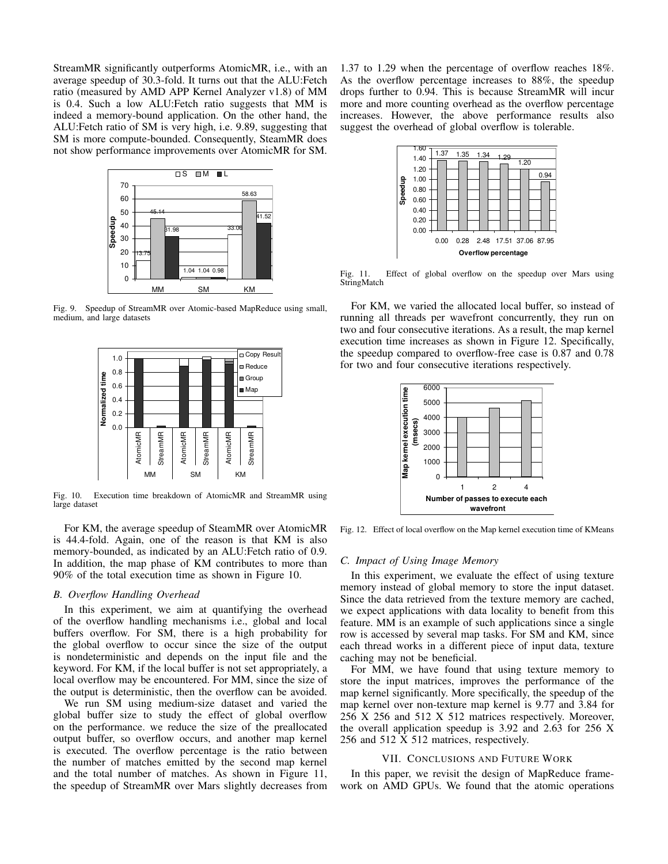StreamMR significantly outperforms AtomicMR, i.e., with an average speedup of 30.3-fold. It turns out that the ALU:Fetch ratio (measured by AMD APP Kernel Analyzer v1.8) of MM is 0.4. Such a low ALU:Fetch ratio suggests that MM is indeed a memory-bound application. On the other hand, the ALU:Fetch ratio of SM is very high, i.e. 9.89, suggesting that SM is more compute-bounded. Consequently, SteamMR does not show performance improvements over AtomicMR for SM.



Fig. 9. Speedup of StreamMR over Atomic-based MapReduce using small, medium, and large datasets



Fig. 10. Execution time breakdown of AtomicMR and StreamMR using large dataset

For KM, the average speedup of SteamMR over AtomicMR is 44.4-fold. Again, one of the reason is that KM is also memory-bounded, as indicated by an ALU:Fetch ratio of 0.9. In addition, the map phase of KM contributes to more than 90% of the total execution time as shown in Figure 10.

# *B. Overflow Handling Overhead*

In this experiment, we aim at quantifying the overhead of the overflow handling mechanisms i.e., global and local buffers overflow. For SM, there is a high probability for the global overflow to occur since the size of the output is nondeterministic and depends on the input file and the keyword. For KM, if the local buffer is not set appropriately, a local overflow may be encountered. For MM, since the size of the output is deterministic, then the overflow can be avoided.

We run SM using medium-size dataset and varied the global buffer size to study the effect of global overflow on the performance. we reduce the size of the preallocated output buffer, so overflow occurs, and another map kernel is executed. The overflow percentage is the ratio between the number of matches emitted by the second map kernel and the total number of matches. As shown in Figure 11, the speedup of StreamMR over Mars slightly decreases from

1.37 to 1.29 when the percentage of overflow reaches 18%. As the overflow percentage increases to 88%, the speedup drops further to 0.94. This is because StreamMR will incur more and more counting overhead as the overflow percentage increases. However, the above performance results also suggest the overhead of global overflow is tolerable.



Fig. 11. Effect of global overflow on the speedup over Mars using StringMatch

For KM, we varied the allocated local buffer, so instead of running all threads per wavefront concurrently, they run on two and four consecutive iterations. As a result, the map kernel execution time increases as shown in Figure 12. Specifically, the speedup compared to overflow-free case is 0.87 and 0.78 for two and four consecutive iterations respectively.



Fig. 12. Effect of local overflow on the Map kernel execution time of KMeans

#### *C. Impact of Using Image Memory*

In this experiment, we evaluate the effect of using texture memory instead of global memory to store the input dataset. Since the data retrieved from the texture memory are cached, we expect applications with data locality to benefit from this feature. MM is an example of such applications since a single row is accessed by several map tasks. For SM and KM, since each thread works in a different piece of input data, texture caching may not be beneficial.

For MM, we have found that using texture memory to store the input matrices, improves the performance of the map kernel significantly. More specifically, the speedup of the map kernel over non-texture map kernel is 9.77 and 3.84 for 256 X 256 and 512 X 512 matrices respectively. Moreover, the overall application speedup is 3.92 and 2.63 for 256 X 256 and 512 X 512 matrices, respectively.

## VII. CONCLUSIONS AND FUTURE WORK

In this paper, we revisit the design of MapReduce framework on AMD GPUs. We found that the atomic operations